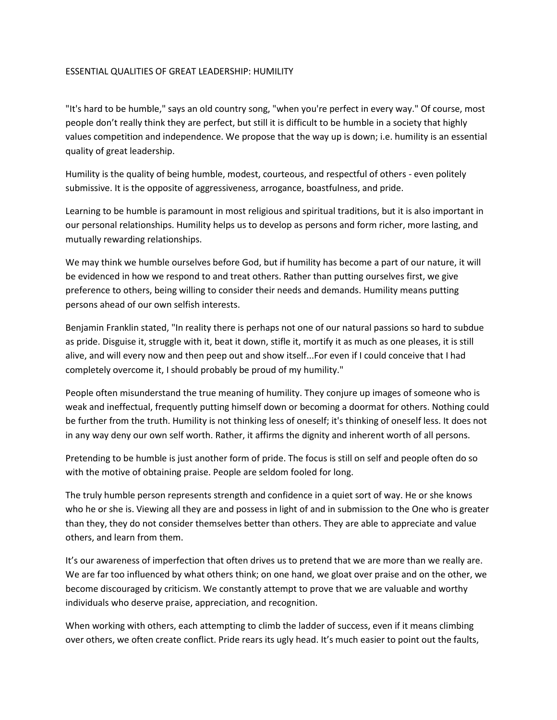## ESSENTIAL QUALITIES OF GREAT LEADERSHIP: HUMILITY

"It's hard to be humble," says an old country song, "when you're perfect in every way." Of course, most people don't really think they are perfect, but still it is difficult to be humble in a society that highly values competition and independence. We propose that the way up is down; i.e. humility is an essential quality of great leadership.

Humility is the quality of being humble, modest, courteous, and respectful of others - even politely submissive. It is the opposite of aggressiveness, arrogance, boastfulness, and pride.

Learning to be humble is paramount in most religious and spiritual traditions, but it is also important in our personal relationships. Humility helps us to develop as persons and form richer, more lasting, and mutually rewarding relationships.

We may think we humble ourselves before God, but if humility has become a part of our nature, it will be evidenced in how we respond to and treat others. Rather than putting ourselves first, we give preference to others, being willing to consider their needs and demands. Humility means putting persons ahead of our own selfish interests.

Benjamin Franklin stated, "In reality there is perhaps not one of our natural passions so hard to subdue as pride. Disguise it, struggle with it, beat it down, stifle it, mortify it as much as one pleases, it is still alive, and will every now and then peep out and show itself...For even if I could conceive that I had completely overcome it, I should probably be proud of my humility."

People often misunderstand the true meaning of humility. They conjure up images of someone who is weak and ineffectual, frequently putting himself down or becoming a doormat for others. Nothing could be further from the truth. Humility is not thinking less of oneself; it's thinking of oneself less. It does not in any way deny our own self worth. Rather, it affirms the dignity and inherent worth of all persons.

Pretending to be humble is just another form of pride. The focus is still on self and people often do so with the motive of obtaining praise. People are seldom fooled for long.

The truly humble person represents strength and confidence in a quiet sort of way. He or she knows who he or she is. Viewing all they are and possess in light of and in submission to the One who is greater than they, they do not consider themselves better than others. They are able to appreciate and value others, and learn from them.

It's our awareness of imperfection that often drives us to pretend that we are more than we really are. We are far too influenced by what others think; on one hand, we gloat over praise and on the other, we become discouraged by criticism. We constantly attempt to prove that we are valuable and worthy individuals who deserve praise, appreciation, and recognition.

When working with others, each attempting to climb the ladder of success, even if it means climbing over others, we often create conflict. Pride rears its ugly head. It's much easier to point out the faults,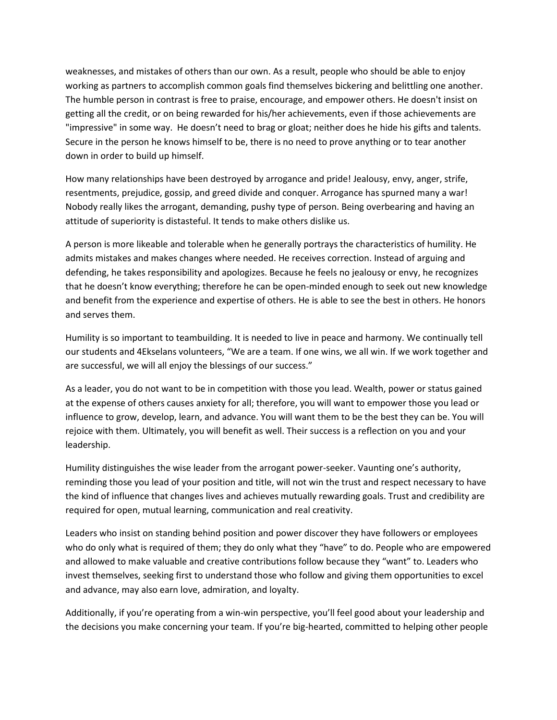weaknesses, and mistakes of others than our own. As a result, people who should be able to enjoy working as partners to accomplish common goals find themselves bickering and belittling one another. The humble person in contrast is free to praise, encourage, and empower others. He doesn't insist on getting all the credit, or on being rewarded for his/her achievements, even if those achievements are "impressive" in some way. He doesn't need to brag or gloat; neither does he hide his gifts and talents. Secure in the person he knows himself to be, there is no need to prove anything or to tear another down in order to build up himself.

How many relationships have been destroyed by arrogance and pride! Jealousy, envy, anger, strife, resentments, prejudice, gossip, and greed divide and conquer. Arrogance has spurned many a war! Nobody really likes the arrogant, demanding, pushy type of person. Being overbearing and having an attitude of superiority is distasteful. It tends to make others dislike us.

A person is more likeable and tolerable when he generally portrays the characteristics of humility. He admits mistakes and makes changes where needed. He receives correction. Instead of arguing and defending, he takes responsibility and apologizes. Because he feels no jealousy or envy, he recognizes that he doesn't know everything; therefore he can be open-minded enough to seek out new knowledge and benefit from the experience and expertise of others. He is able to see the best in others. He honors and serves them.

Humility is so important to teambuilding. It is needed to live in peace and harmony. We continually tell our students and 4Ekselans volunteers, "We are a team. If one wins, we all win. If we work together and are successful, we will all enjoy the blessings of our success."

As a leader, you do not want to be in competition with those you lead. Wealth, power or status gained at the expense of others causes anxiety for all; therefore, you will want to empower those you lead or influence to grow, develop, learn, and advance. You will want them to be the best they can be. You will rejoice with them. Ultimately, you will benefit as well. Their success is a reflection on you and your leadership.

Humility distinguishes the wise leader from the arrogant power-seeker. Vaunting one's authority, reminding those you lead of your position and title, will not win the trust and respect necessary to have the kind of influence that changes lives and achieves mutually rewarding goals. Trust and credibility are required for open, mutual learning, communication and real creativity.

Leaders who insist on standing behind position and power discover they have followers or employees who do only what is required of them; they do only what they "have" to do. People who are empowered and allowed to make valuable and creative contributions follow because they "want" to. Leaders who invest themselves, seeking first to understand those who follow and giving them opportunities to excel and advance, may also earn love, admiration, and loyalty.

Additionally, if you're operating from a win-win perspective, you'll feel good about your leadership and the decisions you make concerning your team. If you're big-hearted, committed to helping other people